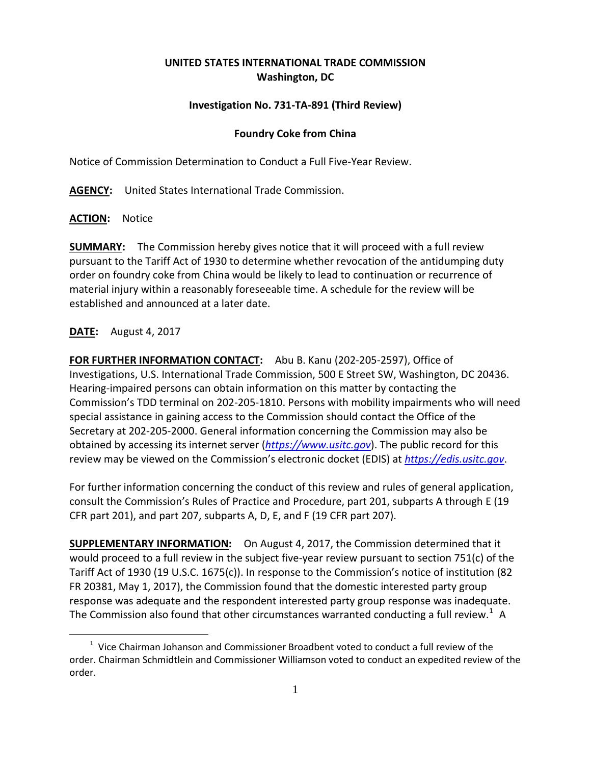# **UNITED STATES INTERNATIONAL TRADE COMMISSION Washington, DC**

# **Investigation No. 731-TA-891 (Third Review)**

### **Foundry Coke from China**

Notice of Commission Determination to Conduct a Full Five-Year Review.

**AGENCY:** United States International Trade Commission.

#### **ACTION:** Notice

**SUMMARY:** The Commission hereby gives notice that it will proceed with a full review pursuant to the Tariff Act of 1930 to determine whether revocation of the antidumping duty order on foundry coke from China would be likely to lead to continuation or recurrence of material injury within a reasonably foreseeable time. A schedule for the review will be established and announced at a later date.

## **DATE:** August 4, 2017

 $\overline{a}$ 

**FOR FURTHER INFORMATION CONTACT:** Abu B. Kanu (202-205-2597), Office of Investigations, U.S. International Trade Commission, 500 E Street SW, Washington, DC 20436. Hearing-impaired persons can obtain information on this matter by contacting the Commission's TDD terminal on 202-205-1810. Persons with mobility impairments who will need special assistance in gaining access to the Commission should contact the Office of the Secretary at 202-205-2000. General information concerning the Commission may also be obtained by accessing its internet server (*[https://www.usitc.gov](https://www.usitc.gov/)*). The public record for this review may be viewed on the Commission's electronic docket (EDIS) at *[https://edis.usitc.gov](https://edis.usitc.gov/)*.

For further information concerning the conduct of this review and rules of general application, consult the Commission's Rules of Practice and Procedure, part 201, subparts A through E (19 CFR part 201), and part 207, subparts A, D, E, and F (19 CFR part 207).

**SUPPLEMENTARY INFORMATION:** On August 4, 2017, the Commission determined that it would proceed to a full review in the subject five-year review pursuant to section 751(c) of the Tariff Act of 1930 (19 U.S.C. 1675(c)). In response to the Commission's notice of institution (82 FR 20381, May 1, 2017), the Commission found that the domestic interested party group response was adequate and the respondent interested party group response was inadequate. The Commission also found that other circumstances warranted conducting a full review.<sup>[1](#page-0-0)</sup> A

<span id="page-0-0"></span> $1$  Vice Chairman Johanson and Commissioner Broadbent voted to conduct a full review of the order. Chairman Schmidtlein and Commissioner Williamson voted to conduct an expedited review of the order.